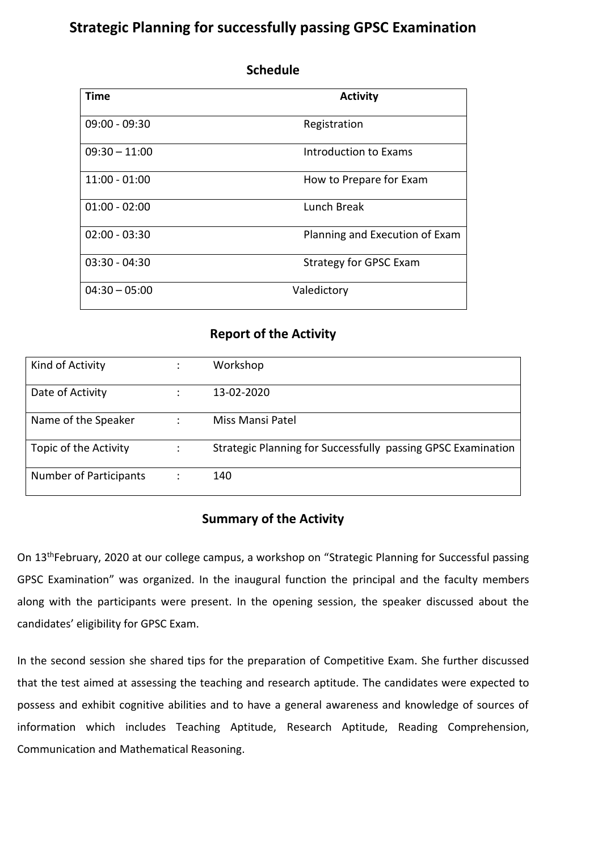## **Strategic Planning for successfully passing GPSC Examination**

| Time            | <b>Activity</b>                |
|-----------------|--------------------------------|
| $09:00 - 09:30$ | Registration                   |
| $09:30 - 11:00$ | Introduction to Exams          |
| $11:00 - 01:00$ | How to Prepare for Exam        |
| $01:00 - 02:00$ | Lunch Break                    |
| $02:00 - 03:30$ | Planning and Execution of Exam |
| $03:30 - 04:30$ | <b>Strategy for GPSC Exam</b>  |
| $04:30 - 05:00$ | Valedictory                    |

## **Schedule**

## **Report of the Activity**

| Kind of Activity              | Workshop                                                     |
|-------------------------------|--------------------------------------------------------------|
| Date of Activity              | 13-02-2020                                                   |
| Name of the Speaker           | Miss Mansi Patel                                             |
| Topic of the Activity         | Strategic Planning for Successfully passing GPSC Examination |
| <b>Number of Participants</b> | 140                                                          |

## **Summary of the Activity**

On 13thFebruary, 2020 at our college campus, a workshop on "Strategic Planning for Successful passing GPSC Examination" was organized. In the inaugural function the principal and the faculty members along with the participants were present. In the opening session, the speaker discussed about the candidates' eligibility for GPSC Exam.

In the second session she shared tips for the preparation of Competitive Exam. She further discussed that the test aimed at assessing the teaching and research aptitude. The candidates were expected to possess and exhibit cognitive abilities and to have a general awareness and knowledge of sources of information which includes Teaching Aptitude, Research Aptitude, Reading Comprehension, Communication and Mathematical Reasoning.